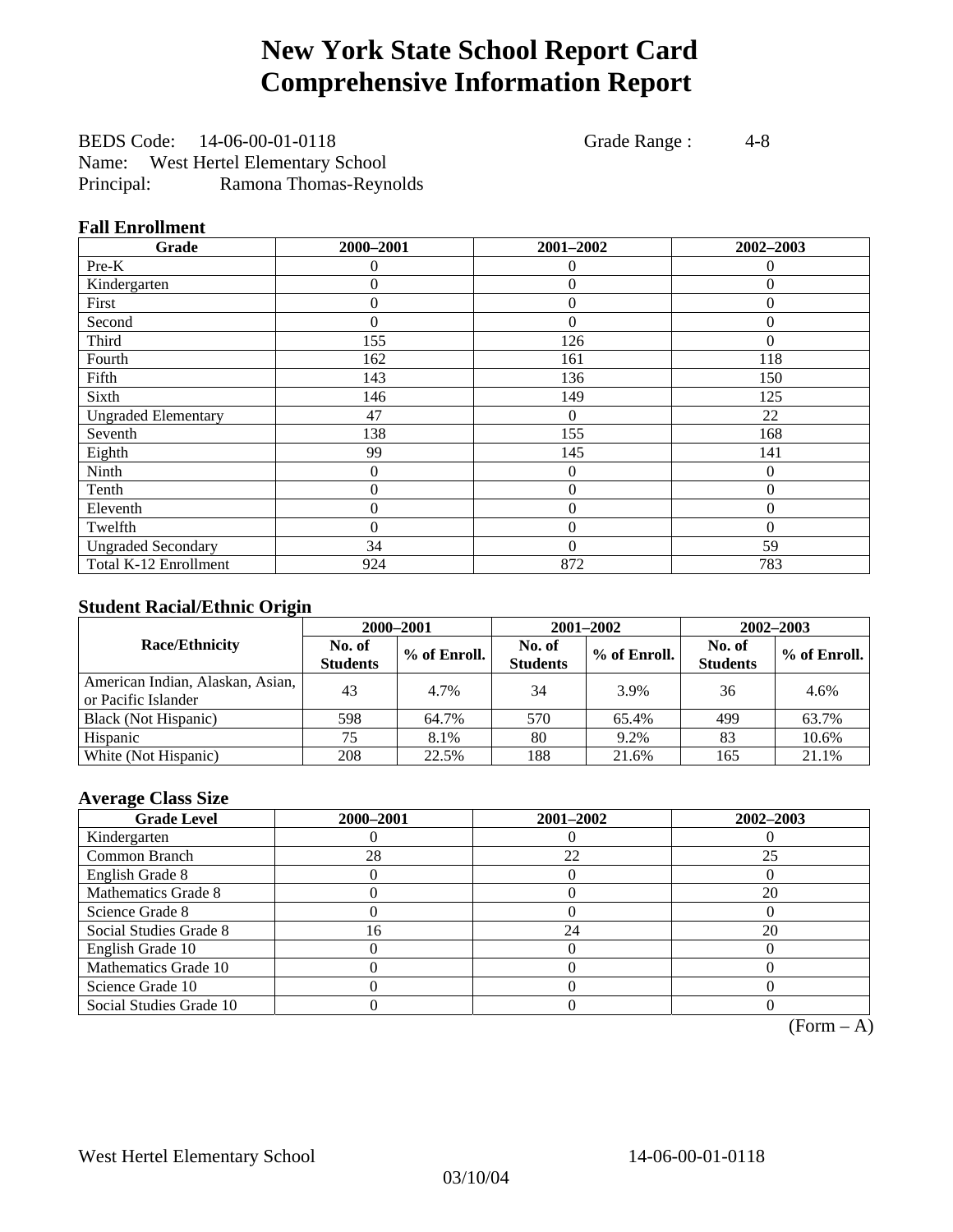# **New York State School Report Card Comprehensive Information Report**

BEDS Code: 14-06-00-01-0118 Grade Range : 4-8 Name: West Hertel Elementary School Principal: Ramona Thomas-Reynolds

### **Fall Enrollment**

| Grade                      | 2000-2001      | 2001-2002        | 2002-2003 |
|----------------------------|----------------|------------------|-----------|
| Pre-K                      | 0              | 0                | $\theta$  |
| Kindergarten               | 0              | $\theta$         | $\Omega$  |
| First                      | $\theta$       | $\theta$         | $\Omega$  |
| Second                     | 0              | $\theta$         | $\Omega$  |
| Third                      | 155            | 126              | 0         |
| Fourth                     | 162            | 161              | 118       |
| Fifth                      | 143            | 136              | 150       |
| Sixth                      | 146            | 149              | 125       |
| <b>Ungraded Elementary</b> | 47             | $\theta$         | 22        |
| Seventh                    | 138            | 155              | 168       |
| Eighth                     | 99             | 145              | 141       |
| Ninth                      | $\theta$       | $\theta$         | $\Omega$  |
| Tenth                      | 0              | $\boldsymbol{0}$ | $\theta$  |
| Eleventh                   | $\overline{0}$ | $\overline{0}$   | $\theta$  |
| Twelfth                    | 0              | $\overline{0}$   | $\Omega$  |
| <b>Ungraded Secondary</b>  | 34             | $\theta$         | 59        |
| Total K-12 Enrollment      | 924            | 872              | 783       |

### **Student Racial/Ethnic Origin**

|                                                         | 2000-2001                 |              |                           | 2001-2002    | 2002-2003                 |                |
|---------------------------------------------------------|---------------------------|--------------|---------------------------|--------------|---------------------------|----------------|
| <b>Race/Ethnicity</b>                                   | No. of<br><b>Students</b> | % of Enroll. | No. of<br><b>Students</b> | % of Enroll. | No. of<br><b>Students</b> | $%$ of Enroll. |
| American Indian, Alaskan, Asian,<br>or Pacific Islander | 43                        | 4.7%         | 34                        | 3.9%         | 36                        | 4.6%           |
| Black (Not Hispanic)                                    | 598                       | 64.7%        | 570                       | 65.4%        | 499                       | 63.7%          |
| Hispanic                                                | 75                        | 8.1%         | 80                        | 9.2%         | 83                        | 10.6%          |
| White (Not Hispanic)                                    | 208                       | 22.5%        | 188                       | 21.6%        | 165                       | 21.1%          |

### **Average Class Size**

| <b>Grade Level</b>      | 2000-2001 | 2001-2002 | 2002-2003 |
|-------------------------|-----------|-----------|-----------|
| Kindergarten            |           |           |           |
| Common Branch           | 28        | 22        | 25        |
| English Grade 8         |           |           |           |
| Mathematics Grade 8     |           |           | 20        |
| Science Grade 8         |           |           |           |
| Social Studies Grade 8  | 16        | 24        | 20        |
| English Grade 10        |           |           |           |
| Mathematics Grade 10    |           |           |           |
| Science Grade 10        |           |           |           |
| Social Studies Grade 10 |           |           |           |

 $(Form - A)$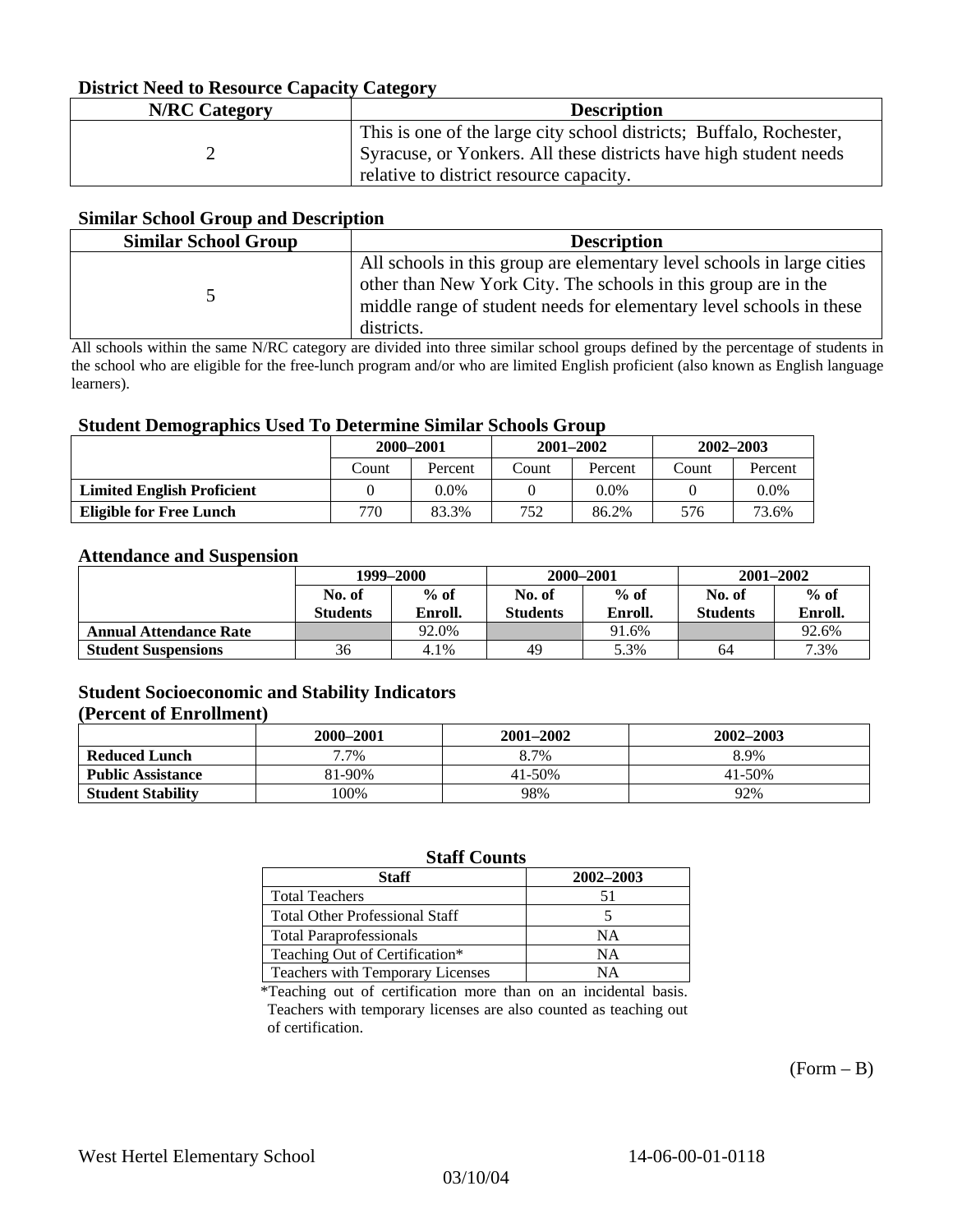### **District Need to Resource Capacity Category**

| <b>N/RC</b> Category | <b>Description</b>                                                                                                                                                                  |
|----------------------|-------------------------------------------------------------------------------------------------------------------------------------------------------------------------------------|
|                      | This is one of the large city school districts; Buffalo, Rochester,<br>Syracuse, or Yonkers. All these districts have high student needs<br>relative to district resource capacity. |

#### **Similar School Group and Description**

| <b>Similar School Group</b> | <b>Description</b>                                                                                                                                                                                                            |
|-----------------------------|-------------------------------------------------------------------------------------------------------------------------------------------------------------------------------------------------------------------------------|
|                             | All schools in this group are elementary level schools in large cities<br>other than New York City. The schools in this group are in the<br>middle range of student needs for elementary level schools in these<br>districts. |

All schools within the same N/RC category are divided into three similar school groups defined by the percentage of students in the school who are eligible for the free-lunch program and/or who are limited English proficient (also known as English language learners).

#### **Student Demographics Used To Determine Similar Schools Group**

|                                   | 2000-2001 |         | $2001 - 2002$ |         | 2002-2003 |         |
|-----------------------------------|-----------|---------|---------------|---------|-----------|---------|
|                                   | Count     | Percent | Count         | Percent | Count     | Percent |
| <b>Limited English Proficient</b> |           | 0.0%    |               | $0.0\%$ |           | $0.0\%$ |
| <b>Eligible for Free Lunch</b>    | 770       | 83.3%   | 752           | 86.2%   | 576       | 73.6%   |

#### **Attendance and Suspension**

|                               | 1999–2000                 |                   |                           | 2000-2001         | $2001 - 2002$             |                   |
|-------------------------------|---------------------------|-------------------|---------------------------|-------------------|---------------------------|-------------------|
|                               | No. of<br><b>Students</b> | $%$ of<br>Enroll. | No. of<br><b>Students</b> | $%$ of<br>Enroll. | No. of<br><b>Students</b> | $%$ of<br>Enroll. |
|                               |                           |                   |                           |                   |                           |                   |
| <b>Annual Attendance Rate</b> |                           | 92.0%             |                           | 91.6%             |                           | 92.6%             |
| <b>Student Suspensions</b>    | 36                        | 4.1%              | 49                        | 5.3%              | 64                        | 7.3%              |

## **Student Socioeconomic and Stability Indicators**

#### **(Percent of Enrollment)**

|                          | 2000–2001 | 2001-2002 | 2002–2003 |
|--------------------------|-----------|-----------|-----------|
| <b>Reduced Lunch</b>     | 7%        | 8.7%      | 8.9%      |
| <b>Public Assistance</b> | 81-90%    | 41-50%    | 41-50%    |
| <b>Student Stability</b> | $100\%$   | 98%       | 92%       |

### **Staff Counts**

| Staff                                 | 2002-2003 |
|---------------------------------------|-----------|
| <b>Total Teachers</b>                 | 51        |
| <b>Total Other Professional Staff</b> |           |
| <b>Total Paraprofessionals</b>        | NΑ        |
| Teaching Out of Certification*        | NΑ        |
| Teachers with Temporary Licenses      | NА        |

\*Teaching out of certification more than on an incidental basis. Teachers with temporary licenses are also counted as teaching out of certification.

 $(Form - B)$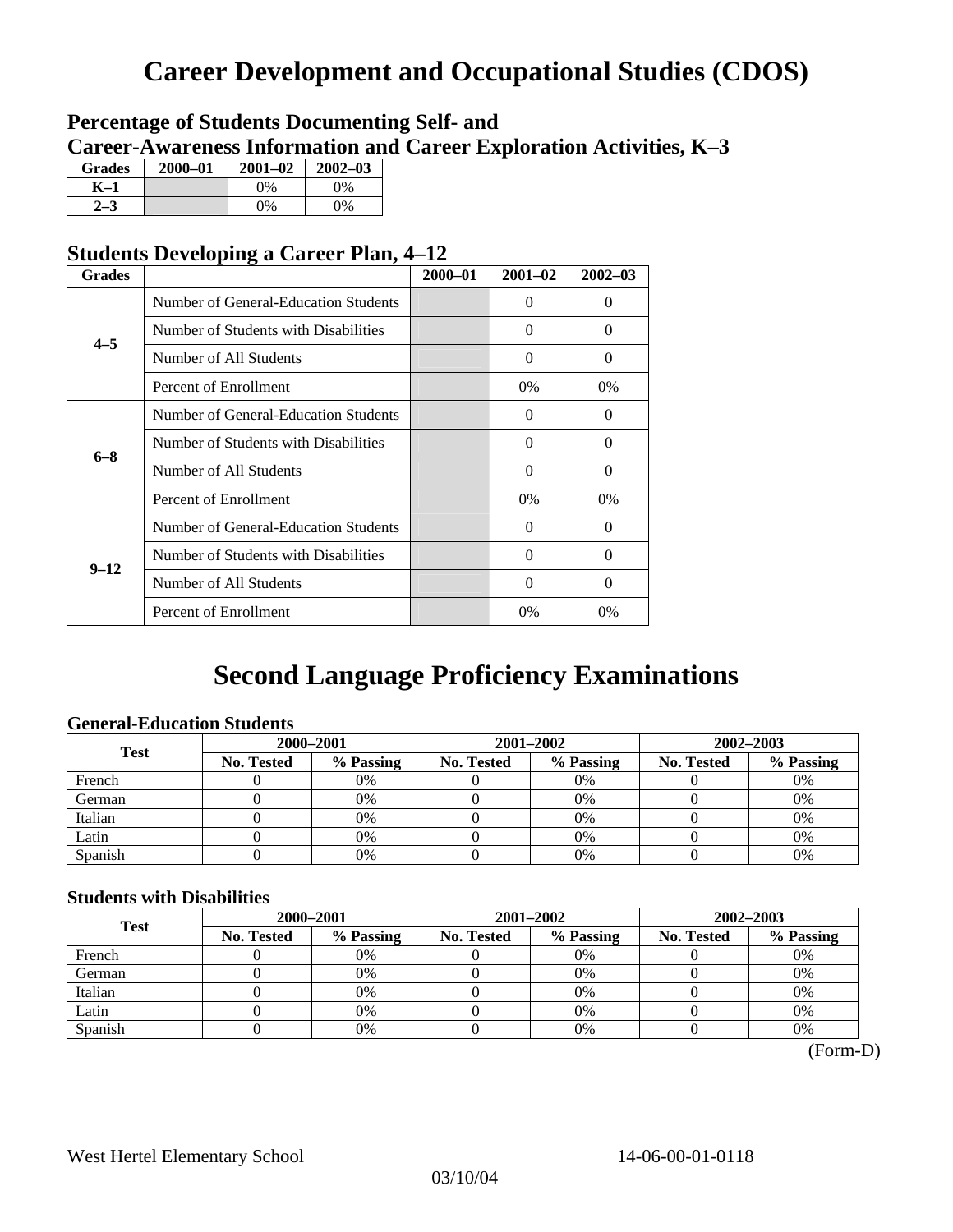# **Career Development and Occupational Studies (CDOS)**

# **Percentage of Students Documenting Self- and Career-Awareness Information and Career Exploration Activities, K–3**

| <b>Grades</b>  | 2000-01 | $2001 - 02$ | $2002 - 03$ |
|----------------|---------|-------------|-------------|
| K-1            |         | $0\%$       | 0%          |
| 2 <sub>2</sub> |         | $0\%$       | $0\%$       |

# **Students Developing a Career Plan, 4–12**

| <b>Grades</b> |                                      | $2000 - 01$ | $2001 - 02$ | $2002 - 03$ |
|---------------|--------------------------------------|-------------|-------------|-------------|
|               | Number of General-Education Students |             | $\Omega$    | $\theta$    |
| $4 - 5$       | Number of Students with Disabilities |             | $\Omega$    | 0           |
|               | Number of All Students               |             | 0           | 0           |
|               | Percent of Enrollment                |             | 0%          | 0%          |
|               | Number of General-Education Students |             | $\Omega$    | 0           |
| $6 - 8$       | Number of Students with Disabilities |             | $\Omega$    | $\Omega$    |
|               | Number of All Students               |             | $\Omega$    | $\Omega$    |
|               | Percent of Enrollment                |             | $0\%$       | $0\%$       |
|               | Number of General-Education Students |             | $\Omega$    | 0           |
| $9 - 12$      | Number of Students with Disabilities |             | 0           | 0           |
|               | Number of All Students               |             | $\Omega$    | $\theta$    |
|               | Percent of Enrollment                |             | 0%          | $0\%$       |

# **Second Language Proficiency Examinations**

## **General-Education Students**

| <b>Test</b> | 2000-2001  |           |                   | 2001-2002 | 2002-2003         |           |
|-------------|------------|-----------|-------------------|-----------|-------------------|-----------|
|             | No. Tested | % Passing | <b>No. Tested</b> | % Passing | <b>No. Tested</b> | % Passing |
| French      |            | 0%        |                   | $0\%$     |                   | 0%        |
| German      |            | 0%        |                   | 0%        |                   | 0%        |
| Italian     |            | 0%        |                   | 0%        |                   | 0%        |
| Latin       |            | 0%        |                   | $0\%$     |                   | 0%        |
| Spanish     |            | 0%        |                   | 0%        |                   | 0%        |

### **Students with Disabilities**

| <b>Test</b> | 2000-2001         |           |                   | 2001-2002 | 2002-2003  |           |  |
|-------------|-------------------|-----------|-------------------|-----------|------------|-----------|--|
|             | <b>No. Tested</b> | % Passing | <b>No. Tested</b> | % Passing | No. Tested | % Passing |  |
| French      |                   | 0%        |                   | 0%        |            | 0%        |  |
| German      |                   | 0%        |                   | 0%        |            | 0%        |  |
| Italian     |                   | 0%        |                   | 0%        |            | 0%        |  |
| Latin       |                   | 0%        |                   | 0%        |            | 0%        |  |
| Spanish     |                   | 0%        |                   | $0\%$     |            | 0%        |  |

(Form-D)